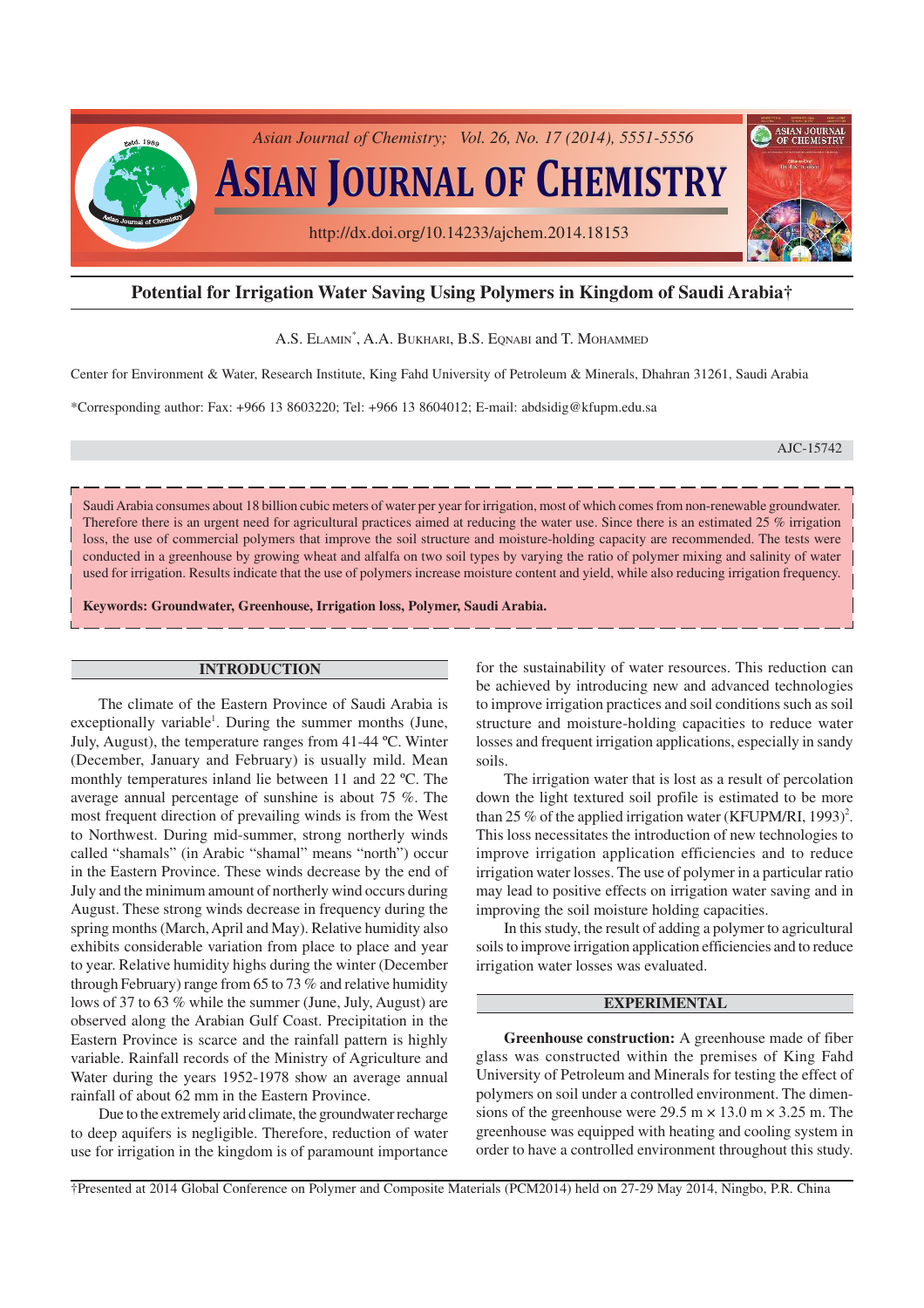

# **Potential for Irrigation Water Saving Using Polymers in Kingdom of Saudi Arabia†**

A.S. ELAMIN\* , A.A. BUKHARI, B.S. EQNABI and T. MOHAMMED

Center for Environment & Water, Research Institute, King Fahd University of Petroleum & Minerals, Dhahran 31261, Saudi Arabia

\*Corresponding author: Fax: +966 13 8603220; Tel: +966 13 8604012; E-mail: abdsidig@kfupm.edu.sa

AJC-15742

Saudi Arabia consumes about 18 billion cubic meters of water per year for irrigation, most of which comes from non-renewable groundwater. Therefore there is an urgent need for agricultural practices aimed at reducing the water use. Since there is an estimated 25 % irrigation loss, the use of commercial polymers that improve the soil structure and moisture-holding capacity are recommended. The tests were conducted in a greenhouse by growing wheat and alfalfa on two soil types by varying the ratio of polymer mixing and salinity of water used for irrigation. Results indicate that the use of polymers increase moisture content and yield, while also reducing irrigation frequency.

**Keywords: Groundwater, Greenhouse, Irrigation loss, Polymer, Saudi Arabia.**

## **INTRODUCTION**

The climate of the Eastern Province of Saudi Arabia is exceptionally variable<sup>1</sup>. During the summer months (June, July, August), the temperature ranges from 41-44 ºC. Winter (December, January and February) is usually mild. Mean monthly temperatures inland lie between 11 and 22 ºC. The average annual percentage of sunshine is about 75 %. The most frequent direction of prevailing winds is from the West to Northwest. During mid-summer, strong northerly winds called "shamals" (in Arabic "shamal" means "north") occur in the Eastern Province. These winds decrease by the end of July and the minimum amount of northerly wind occurs during August. These strong winds decrease in frequency during the spring months (March, April and May). Relative humidity also exhibits considerable variation from place to place and year to year. Relative humidity highs during the winter (December through February) range from 65 to 73 % and relative humidity lows of 37 to 63 % while the summer (June, July, August) are observed along the Arabian Gulf Coast. Precipitation in the Eastern Province is scarce and the rainfall pattern is highly variable. Rainfall records of the Ministry of Agriculture and Water during the years 1952-1978 show an average annual rainfall of about 62 mm in the Eastern Province.

Due to the extremely arid climate, the groundwater recharge to deep aquifers is negligible. Therefore, reduction of water use for irrigation in the kingdom is of paramount importance for the sustainability of water resources. This reduction can be achieved by introducing new and advanced technologies to improve irrigation practices and soil conditions such as soil structure and moisture-holding capacities to reduce water losses and frequent irrigation applications, especially in sandy soils.

The irrigation water that is lost as a result of percolation down the light textured soil profile is estimated to be more than 25 % of the applied irrigation water (KFUPM/RI, 1993)<sup>2</sup>. This loss necessitates the introduction of new technologies to improve irrigation application efficiencies and to reduce irrigation water losses. The use of polymer in a particular ratio may lead to positive effects on irrigation water saving and in improving the soil moisture holding capacities.

In this study, the result of adding a polymer to agricultural soils to improve irrigation application efficiencies and to reduce irrigation water losses was evaluated.

## **EXPERIMENTAL**

**Greenhouse construction:** A greenhouse made of fiber glass was constructed within the premises of King Fahd University of Petroleum and Minerals for testing the effect of polymers on soil under a controlled environment. The dimensions of the greenhouse were  $29.5 \text{ m} \times 13.0 \text{ m} \times 3.25 \text{ m}$ . The greenhouse was equipped with heating and cooling system in order to have a controlled environment throughout this study.

†Presented at 2014 Global Conference on Polymer and Composite Materials (PCM2014) held on 27-29 May 2014, Ningbo, P.R. China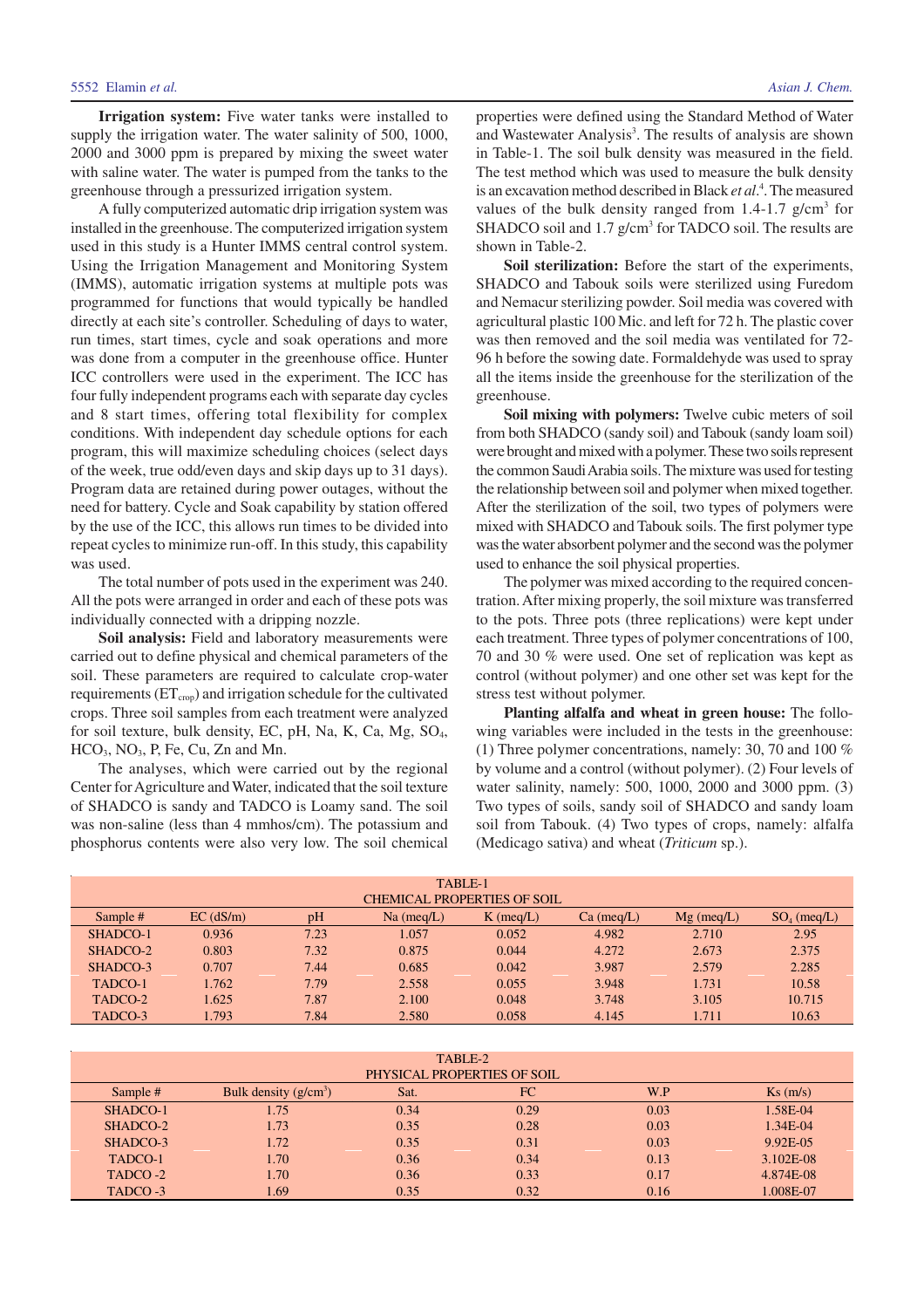**Irrigation system:** Five water tanks were installed to supply the irrigation water. The water salinity of 500, 1000, 2000 and 3000 ppm is prepared by mixing the sweet water with saline water. The water is pumped from the tanks to the greenhouse through a pressurized irrigation system.

A fully computerized automatic drip irrigation system was installed in the greenhouse. The computerized irrigation system used in this study is a Hunter IMMS central control system. Using the Irrigation Management and Monitoring System (IMMS), automatic irrigation systems at multiple pots was programmed for functions that would typically be handled directly at each site's controller. Scheduling of days to water, run times, start times, cycle and soak operations and more was done from a computer in the greenhouse office. Hunter ICC controllers were used in the experiment. The ICC has four fully independent programs each with separate day cycles and 8 start times, offering total flexibility for complex conditions. With independent day schedule options for each program, this will maximize scheduling choices (select days of the week, true odd/even days and skip days up to 31 days). Program data are retained during power outages, without the need for battery. Cycle and Soak capability by station offered by the use of the ICC, this allows run times to be divided into repeat cycles to minimize run-off. In this study, this capability was used.

The total number of pots used in the experiment was 240. All the pots were arranged in order and each of these pots was individually connected with a dripping nozzle.

**Soil analysis:** Field and laboratory measurements were carried out to define physical and chemical parameters of the soil. These parameters are required to calculate crop-water requirements (ET<sub>crop</sub>) and irrigation schedule for the cultivated crops. Three soil samples from each treatment were analyzed for soil texture, bulk density, EC, pH, Na, K, Ca, Mg, SO<sub>4</sub>,  $HCO<sub>3</sub>$ , NO<sub>3</sub>, P, Fe, Cu, Zn and Mn.

The analyses, which were carried out by the regional Center for Agriculture and Water, indicated that the soil texture of SHADCO is sandy and TADCO is Loamy sand. The soil was non-saline (less than 4 mmhos/cm). The potassium and phosphorus contents were also very low. The soil chemical properties were defined using the Standard Method of Water and Wastewater Analysis<sup>3</sup>. The results of analysis are shown in Table-1. The soil bulk density was measured in the field. The test method which was used to measure the bulk density is an excavation method described in Black *et al*. 4 . The measured values of the bulk density ranged from  $1.4$ -1.7 g/cm<sup>3</sup> for SHADCO soil and 1.7 g/cm<sup>3</sup> for TADCO soil. The results are shown in Table-2.

**Soil sterilization:** Before the start of the experiments, SHADCO and Tabouk soils were sterilized using Furedom and Nemacur sterilizing powder. Soil media was covered with agricultural plastic 100 Mic. and left for 72 h. The plastic cover was then removed and the soil media was ventilated for 72- 96 h before the sowing date. Formaldehyde was used to spray all the items inside the greenhouse for the sterilization of the greenhouse.

**Soil mixing with polymers:** Twelve cubic meters of soil from both SHADCO (sandy soil) and Tabouk (sandy loam soil) were brought and mixed with a polymer. These two soils represent the common Saudi Arabia soils. The mixture was used for testing the relationship between soil and polymer when mixed together. After the sterilization of the soil, two types of polymers were mixed with SHADCO and Tabouk soils. The first polymer type was the water absorbent polymer and the second was the polymer used to enhance the soil physical properties.

The polymer was mixed according to the required concentration. After mixing properly, the soil mixture was transferred to the pots. Three pots (three replications) were kept under each treatment. Three types of polymer concentrations of 100, 70 and 30 % were used. One set of replication was kept as control (without polymer) and one other set was kept for the stress test without polymer.

**Planting alfalfa and wheat in green house:** The following variables were included in the tests in the greenhouse: (1) Three polymer concentrations, namely: 30, 70 and 100 % by volume and a control (without polymer). (2) Four levels of water salinity, namely: 500, 1000, 2000 and 3000 ppm. (3) Two types of soils, sandy soil of SHADCO and sandy loam soil from Tabouk. (4) Two types of crops, namely: alfalfa (Medicago sativa) and wheat (*Triticum* sp.).

| TABLE-1                     |                                                                                      |      |       |       |       |       |        |  |  |
|-----------------------------|--------------------------------------------------------------------------------------|------|-------|-------|-------|-------|--------|--|--|
| CHEMICAL PROPERTIES OF SOIL |                                                                                      |      |       |       |       |       |        |  |  |
| Sample #                    | $EC$ ( $dS/m$ )<br>pH<br>$Na$ (meq/L)<br>$K$ (meq/L)<br>$Mg$ (meq/L)<br>$Ca$ (meg/L) |      |       |       |       |       |        |  |  |
| SHADCO-1                    | 0.936                                                                                | 7.23 | 1.057 | 0.052 | 4.982 | 2.710 | 2.95   |  |  |
| SHADCO-2                    | 0.803                                                                                | 7.32 | 0.875 | 0.044 | 4.272 | 2.673 | 2.375  |  |  |
| SHADCO-3                    | 0.707                                                                                | 7.44 | 0.685 | 0.042 | 3.987 | 2.579 | 2.285  |  |  |
| TADCO-1                     | 1.762                                                                                | 7.79 | 2.558 | 0.055 | 3.948 | 1.731 | 10.58  |  |  |
| TADCO-2                     | 1.625                                                                                | 7.87 | 2.100 | 0.048 | 3.748 | 3.105 | 10.715 |  |  |
| TADCO-3                     | 1.793                                                                                | 7.84 | 2.580 | 0.058 | 4.145 | 1.711 | 10.63  |  |  |

| TABLE-2<br>PHYSICAL PROPERTIES OF SOIL |                         |      |      |      |           |  |  |  |
|----------------------------------------|-------------------------|------|------|------|-----------|--|--|--|
| Sample #                               | Bulk density $(g/cm^3)$ | Sat. | FC   | W.P  | Ks(m/s)   |  |  |  |
| SHADCO-1                               | 1.75                    | 0.34 | 0.29 | 0.03 | 1.58E-04  |  |  |  |
| SHADCO-2                               | 1.73                    | 0.35 | 0.28 | 0.03 | 1.34E-04  |  |  |  |
| SHADCO-3                               | 1.72                    | 0.35 | 0.31 | 0.03 | 9.92E-05  |  |  |  |
| TADCO-1                                | 1.70                    | 0.36 | 0.34 | 0.13 | 3.102E-08 |  |  |  |
| TADCO-2                                | 1.70                    | 0.36 | 0.33 | 0.17 | 4.874E-08 |  |  |  |
| TADCO-3                                | L <sub>69</sub>         | 0.35 | 0.32 | 0.16 | 1.008E-07 |  |  |  |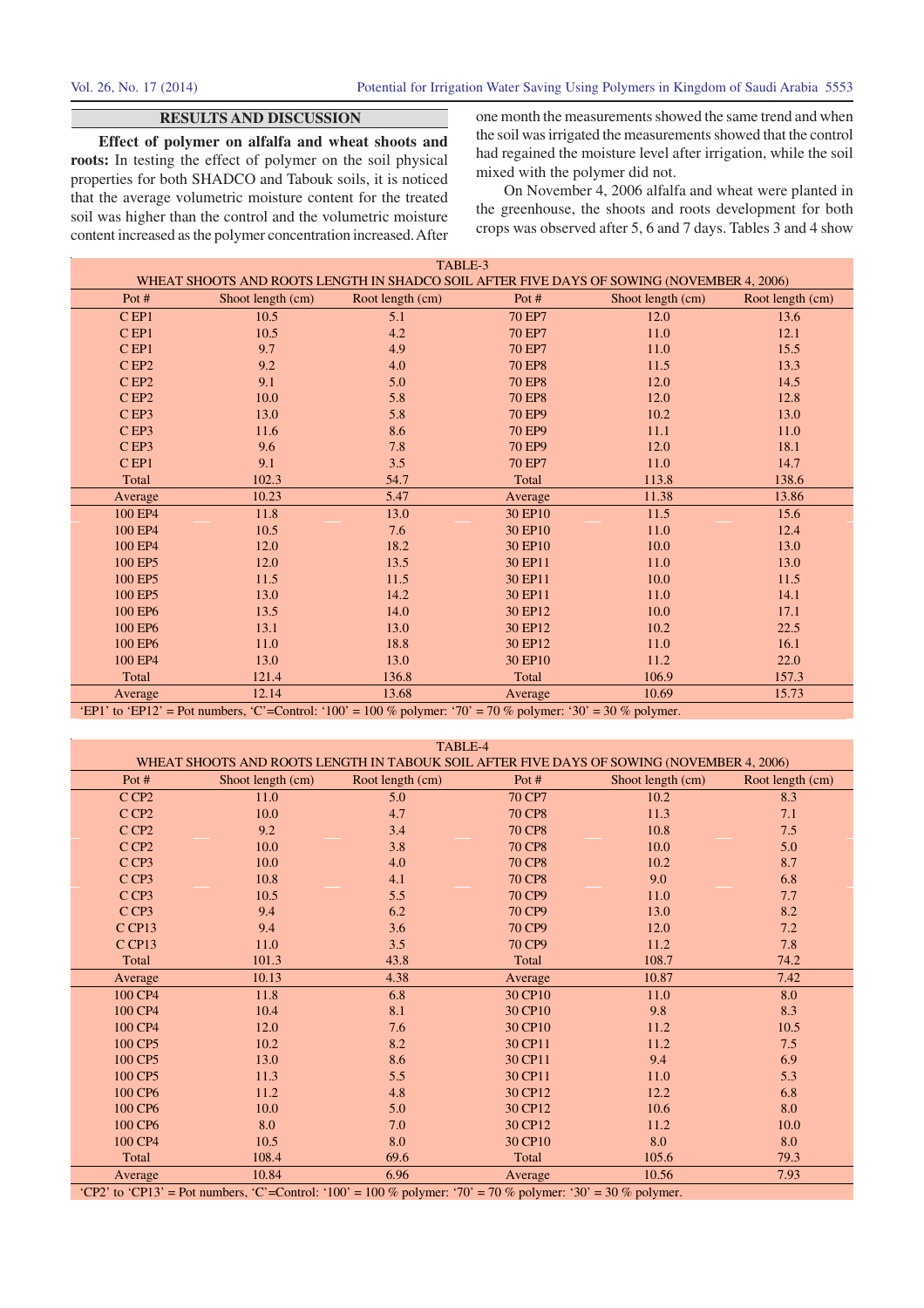# **RESULTS AND DISCUSSION**

**Effect of polymer on alfalfa and wheat shoots and roots:** In testing the effect of polymer on the soil physical properties for both SHADCO and Tabouk soils, it is noticed that the average volumetric moisture content for the treated soil was higher than the control and the volumetric moisture content increased as the polymer concentration increased. After one month the measurements showed the same trend and when the soil was irrigated the measurements showed that the control had regained the moisture level after irrigation, while the soil mixed with the polymer did not.

On November 4, 2006 alfalfa and wheat were planted in the greenhouse, the shoots and roots development for both crops was observed after 5, 6 and 7 days. Tables 3 and 4 show

| TABLE-3            |                   |                                                                                                              |               |                                                                                           |                  |  |  |  |  |
|--------------------|-------------------|--------------------------------------------------------------------------------------------------------------|---------------|-------------------------------------------------------------------------------------------|------------------|--|--|--|--|
|                    |                   |                                                                                                              |               | WHEAT SHOOTS AND ROOTS LENGTH IN SHADCO SOIL AFTER FIVE DAYS OF SOWING (NOVEMBER 4, 2006) |                  |  |  |  |  |
| Pot #              | Shoot length (cm) | Root length (cm)                                                                                             | Pot $#$       | Shoot length (cm)                                                                         | Root length (cm) |  |  |  |  |
| $C$ <sub>EP1</sub> | 10.5              | 5.1                                                                                                          | <b>70 EP7</b> | 12.0                                                                                      | 13.6             |  |  |  |  |
| $C$ EP1            | 10.5              | 4.2                                                                                                          | <b>70 EP7</b> | 11.0                                                                                      | 12.1             |  |  |  |  |
| $C$ <sub>EP1</sub> | 9.7               | 4.9                                                                                                          | <b>70 EP7</b> | 11.0                                                                                      | 15.5             |  |  |  |  |
| CEP2               | 9.2               | 4.0                                                                                                          | <b>70 EP8</b> | 11.5                                                                                      | 13.3             |  |  |  |  |
| CEP2               | 9.1               | 5.0                                                                                                          | <b>70 EP8</b> | 12.0                                                                                      | 14.5             |  |  |  |  |
| CEP2               | 10.0              | 5.8                                                                                                          | <b>70 EP8</b> | 12.0                                                                                      | 12.8             |  |  |  |  |
| CEP3               | 13.0              | 5.8                                                                                                          | <b>70 EP9</b> | 10.2                                                                                      | 13.0             |  |  |  |  |
| CEP3               | 11.6              | 8.6                                                                                                          | <b>70 EP9</b> | 11.1                                                                                      | 11.0             |  |  |  |  |
| CEP3               | 9.6               | 7.8                                                                                                          | <b>70 EP9</b> | 12.0                                                                                      | 18.1             |  |  |  |  |
| $C$ <sub>EP1</sub> | 9.1               | 3.5                                                                                                          | <b>70 EP7</b> | 11.0                                                                                      | 14.7             |  |  |  |  |
| Total              | 102.3             | 54.7                                                                                                         | Total         | 113.8                                                                                     | 138.6            |  |  |  |  |
| Average            | 10.23             | 5.47                                                                                                         | Average       | 11.38                                                                                     | 13.86            |  |  |  |  |
| 100 EP4            | 11.8              | 13.0                                                                                                         | 30 EP10       | 11.5                                                                                      | 15.6             |  |  |  |  |
| 100 EP4            | 10.5              | 7.6                                                                                                          | 30 EP10       | 11.0                                                                                      | 12.4             |  |  |  |  |
| 100 EP4            | 12.0              | 18.2                                                                                                         | 30 EP10       | 10.0                                                                                      | 13.0             |  |  |  |  |
| 100 EP5            | 12.0              | 13.5                                                                                                         | 30 EP11       | 11.0                                                                                      | 13.0             |  |  |  |  |
| 100 EP5            | 11.5              | 11.5                                                                                                         | 30 EP11       | 10.0                                                                                      | 11.5             |  |  |  |  |
| 100 EP5            | 13.0              | 14.2                                                                                                         | 30 EP11       | 11.0                                                                                      | 14.1             |  |  |  |  |
| 100 EP6            | 13.5              | 14.0                                                                                                         | 30 EP12       | 10.0                                                                                      | 17.1             |  |  |  |  |
| 100 EP6            | 13.1              | 13.0                                                                                                         | 30 EP12       | 10.2                                                                                      | 22.5             |  |  |  |  |
| 100 EP6            | 11.0              | 18.8                                                                                                         | 30 EP12       | 11.0                                                                                      | 16.1             |  |  |  |  |
| 100 EP4            | 13.0              | 13.0                                                                                                         | 30 EP10       | 11.2                                                                                      | 22.0             |  |  |  |  |
| Total              | 121.4             | 136.8                                                                                                        | Total         | 106.9                                                                                     | 157.3            |  |  |  |  |
| Average            | 12.14             | 13.68                                                                                                        | Average       | 10.69                                                                                     | 15.73            |  |  |  |  |
|                    |                   | 'EP1' to 'EP12' = Pot numbers, 'C'=Control: '100' = 100 % polymer: '70' = 70 % polymer: '30' = 30 % polymer. |               |                                                                                           |                  |  |  |  |  |

|  | Let 1 to Let $12$ = 1 ot numbers, C = control. 100 = 100 % porymer. 70 = 70 % porymer. 50 = 50 % porymer. |  |
|--|-----------------------------------------------------------------------------------------------------------|--|
|  |                                                                                                           |  |
|  |                                                                                                           |  |

| TABLE-4<br>WHEAT SHOOTS AND ROOTS LENGTH IN TABOUK SOIL AFTER FIVE DAYS OF SOWING (NOVEMBER 4, 2006) |                                                                                                              |                  |               |                   |                  |  |  |  |  |
|------------------------------------------------------------------------------------------------------|--------------------------------------------------------------------------------------------------------------|------------------|---------------|-------------------|------------------|--|--|--|--|
|                                                                                                      |                                                                                                              |                  |               |                   |                  |  |  |  |  |
| Pot #                                                                                                | Shoot length (cm)                                                                                            | Root length (cm) | Pot #         | Shoot length (cm) | Root length (cm) |  |  |  |  |
| C CP <sub>2</sub>                                                                                    | 11.0                                                                                                         | 5.0              | 70 CP7        | 10.2              | 8.3              |  |  |  |  |
| C CP <sub>2</sub>                                                                                    | 10.0                                                                                                         | 4.7              | <b>70 CP8</b> | 11.3              | 7.1              |  |  |  |  |
| C CP <sub>2</sub>                                                                                    | 9.2                                                                                                          | 3.4              | <b>70 CP8</b> | 10.8              | 7.5              |  |  |  |  |
| CCP <sub>2</sub>                                                                                     | 10.0                                                                                                         | 3.8              | <b>70 CP8</b> | 10.0              | 5.0              |  |  |  |  |
| CCP3                                                                                                 | 10.0                                                                                                         | 4.0              | <b>70 CP8</b> | 10.2              | 8.7              |  |  |  |  |
| C CP3                                                                                                | 10.8                                                                                                         | 4.1              | <b>70 CP8</b> | 9.0               | 6.8              |  |  |  |  |
| C CP <sub>3</sub>                                                                                    | 10.5                                                                                                         | 5.5              | 70 CP9        | 11.0              | 7.7              |  |  |  |  |
| C CP <sub>3</sub>                                                                                    | 9.4                                                                                                          | 6.2              | 70 CP9        | 13.0              | 8.2              |  |  |  |  |
| CCP13                                                                                                | 9.4                                                                                                          | 3.6              | 70 CP9        | 12.0              | 7.2              |  |  |  |  |
| C CP13                                                                                               | 11.0                                                                                                         | 3.5              | 70 CP9        | 11.2              | 7.8              |  |  |  |  |
| Total                                                                                                | 101.3                                                                                                        | 43.8             | Total         | 108.7             | 74.2             |  |  |  |  |
| Average                                                                                              | 10.13                                                                                                        | 4.38             | Average       | 10.87             | 7.42             |  |  |  |  |
| 100 CP4                                                                                              | 11.8                                                                                                         | 6.8              | 30 CP10       | 11.0              | 8.0              |  |  |  |  |
| 100 CP4                                                                                              | 10.4                                                                                                         | 8.1              | 30 CP10       | 9.8               | 8.3              |  |  |  |  |
| 100 CP4                                                                                              | 12.0                                                                                                         | 7.6              | 30 CP10       | 11.2              | 10.5             |  |  |  |  |
| 100 CP5                                                                                              | 10.2                                                                                                         | 8.2              | 30 CP11       | 11.2              | 7.5              |  |  |  |  |
| 100 CP5                                                                                              | 13.0                                                                                                         | 8.6              | 30 CP11       | 9.4               | 6.9              |  |  |  |  |
| 100 CP5                                                                                              | 11.3                                                                                                         | 5.5              | 30 CP11       | 11.0              | 5.3              |  |  |  |  |
| 100 CP6                                                                                              | 11.2                                                                                                         | 4.8              | 30 CP12       | 12.2              | 6.8              |  |  |  |  |
| 100 CP6                                                                                              | 10.0                                                                                                         | 5.0              | 30 CP12       | 10.6              | 8.0              |  |  |  |  |
| 100 CP6                                                                                              | 8.0                                                                                                          | 7.0              | 30 CP12       | 11.2              | 10.0             |  |  |  |  |
| 100 CP4                                                                                              | 10.5                                                                                                         | 8.0              | 30 CP10       | 8.0               | 8.0              |  |  |  |  |
| Total                                                                                                | 108.4                                                                                                        | 69.6             | Total         | 105.6             | 79.3             |  |  |  |  |
| Average                                                                                              | 10.84                                                                                                        | 6.96             | Average       | 10.56             | 7.93             |  |  |  |  |
|                                                                                                      | "CP2' to 'CP13' = Pot numbers, 'C'=Control: '100' = 100 % polymer: '70' = 70 % polymer: '30' = 30 % polymer. |                  |               |                   |                  |  |  |  |  |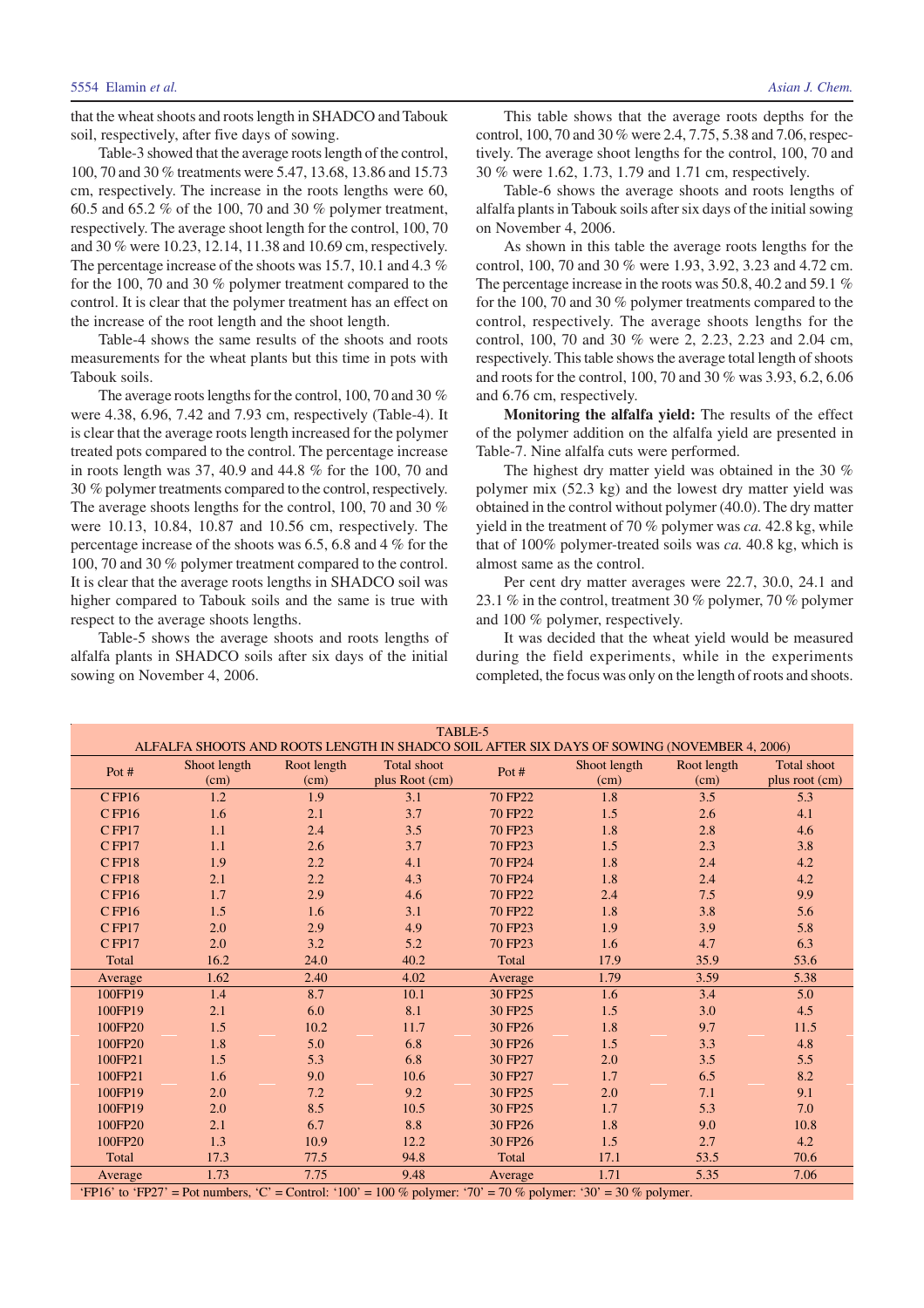Table-3 showed that the average roots length of the control, 100, 70 and 30 % treatments were 5.47, 13.68, 13.86 and 15.73 cm, respectively. The increase in the roots lengths were 60, 60.5 and 65.2 % of the 100, 70 and 30 % polymer treatment, respectively. The average shoot length for the control, 100, 70 and 30 % were 10.23, 12.14, 11.38 and 10.69 cm, respectively. The percentage increase of the shoots was 15.7, 10.1 and 4.3 % for the 100, 70 and 30 % polymer treatment compared to the control. It is clear that the polymer treatment has an effect on the increase of the root length and the shoot length.

Table-4 shows the same results of the shoots and roots measurements for the wheat plants but this time in pots with Tabouk soils.

The average roots lengths for the control, 100, 70 and 30 % were 4.38, 6.96, 7.42 and 7.93 cm, respectively (Table-4). It is clear that the average roots length increased for the polymer treated pots compared to the control. The percentage increase in roots length was 37, 40.9 and 44.8 % for the 100, 70 and 30 % polymer treatments compared to the control, respectively. The average shoots lengths for the control, 100, 70 and 30 % were 10.13, 10.84, 10.87 and 10.56 cm, respectively. The percentage increase of the shoots was 6.5, 6.8 and 4 % for the 100, 70 and 30 % polymer treatment compared to the control. It is clear that the average roots lengths in SHADCO soil was higher compared to Tabouk soils and the same is true with respect to the average shoots lengths.

Table-5 shows the average shoots and roots lengths of alfalfa plants in SHADCO soils after six days of the initial sowing on November 4, 2006.

This table shows that the average roots depths for the control, 100, 70 and 30 % were 2.4, 7.75, 5.38 and 7.06, respectively. The average shoot lengths for the control, 100, 70 and 30 % were 1.62, 1.73, 1.79 and 1.71 cm, respectively.

Table-6 shows the average shoots and roots lengths of alfalfa plants in Tabouk soils after six days of the initial sowing on November 4, 2006.

As shown in this table the average roots lengths for the control, 100, 70 and 30 % were 1.93, 3.92, 3.23 and 4.72 cm. The percentage increase in the roots was 50.8, 40.2 and 59.1 % for the 100, 70 and 30 % polymer treatments compared to the control, respectively. The average shoots lengths for the control, 100, 70 and 30 % were 2, 2.23, 2.23 and 2.04 cm, respectively. This table shows the average total length of shoots and roots for the control, 100, 70 and 30 % was 3.93, 6.2, 6.06 and 6.76 cm, respectively.

**Monitoring the alfalfa yield:** The results of the effect of the polymer addition on the alfalfa yield are presented in Table-7. Nine alfalfa cuts were performed.

The highest dry matter yield was obtained in the 30 % polymer mix (52.3 kg) and the lowest dry matter yield was obtained in the control without polymer (40.0). The dry matter yield in the treatment of 70 % polymer was *ca.* 42.8 kg, while that of 100% polymer-treated soils was *ca.* 40.8 kg, which is almost same as the control.

Per cent dry matter averages were 22.7, 30.0, 24.1 and 23.1 % in the control, treatment 30 % polymer, 70 % polymer and 100 % polymer, respectively.

It was decided that the wheat yield would be measured during the field experiments, while in the experiments completed, the focus was only on the length of roots and shoots.

| TABLE-5<br>ALFALFA SHOOTS AND ROOTS LENGTH IN SHADCO SOIL AFTER SIX DAYS OF SOWING (NOVEMBER 4, 2006) |                      |                     |                                                                                                                 |         |                      |                     |                                      |  |
|-------------------------------------------------------------------------------------------------------|----------------------|---------------------|-----------------------------------------------------------------------------------------------------------------|---------|----------------------|---------------------|--------------------------------------|--|
|                                                                                                       |                      |                     |                                                                                                                 |         |                      |                     |                                      |  |
| Pot #                                                                                                 | Shoot length<br>(cm) | Root length<br>(cm) | <b>Total shoot</b><br>plus Root (cm)                                                                            | Pot #   | Shoot length<br>(cm) | Root length<br>(cm) | <b>Total shoot</b><br>plus root (cm) |  |
| $C$ FP16                                                                                              | 1.2                  | 1.9                 | 3.1                                                                                                             | 70 FP22 | 1.8                  | 3.5                 | 5.3                                  |  |
| $C$ FP16                                                                                              | 1.6                  | 2.1                 | 3.7                                                                                                             | 70 FP22 | 1.5                  | 2.6                 | 4.1                                  |  |
| $C$ FP17                                                                                              | 1.1                  | 2.4                 | 3.5                                                                                                             | 70 FP23 | 1.8                  | 2.8                 | 4.6                                  |  |
| $C$ FP17                                                                                              | 1.1                  | 2.6                 | 3.7                                                                                                             | 70 FP23 | 1.5                  | 2.3                 | 3.8                                  |  |
| $C$ FP18                                                                                              | 1.9                  | 2.2                 | 4.1                                                                                                             | 70 FP24 | 1.8                  | 2.4                 | 4.2                                  |  |
| $C$ FP18                                                                                              | 2.1                  | 2.2                 | 4.3                                                                                                             | 70 FP24 | 1.8                  | 2.4                 | 4.2                                  |  |
| $C$ FP16                                                                                              | 1.7                  | 2.9                 | 4.6                                                                                                             | 70 FP22 | 2.4                  | 7.5                 | 9.9                                  |  |
| $C$ FP16                                                                                              | 1.5                  | 1.6                 | 3.1                                                                                                             | 70 FP22 | 1.8                  | 3.8                 | 5.6                                  |  |
| CFP17                                                                                                 | 2.0                  | 2.9                 | 4.9                                                                                                             | 70 FP23 | 1.9                  | 3.9                 | 5.8                                  |  |
| $C$ FP17                                                                                              | 2.0                  | 3.2                 | 5.2                                                                                                             | 70 FP23 | 1.6                  | 4.7                 | 6.3                                  |  |
| Total                                                                                                 | 16.2                 | 24.0                | 40.2                                                                                                            | Total   | 17.9                 | 35.9                | 53.6                                 |  |
| Average                                                                                               | 1.62                 | 2.40                | 4.02                                                                                                            | Average | 1.79                 | 3.59                | 5.38                                 |  |
| 100FP19                                                                                               | 1.4                  | 8.7                 | 10.1                                                                                                            | 30 FP25 | 1.6                  | 3.4                 | 5.0                                  |  |
| 100FP19                                                                                               | 2.1                  | 6.0                 | 8.1                                                                                                             | 30 FP25 | 1.5                  | 3.0                 | 4.5                                  |  |
| 100FP20                                                                                               | 1.5                  | 10.2                | 11.7                                                                                                            | 30 FP26 | 1.8                  | 9.7                 | 11.5                                 |  |
| 100FP20                                                                                               | 1.8                  | 5.0                 | 6.8                                                                                                             | 30 FP26 | 1.5                  | 3.3                 | 4.8                                  |  |
| 100FP21                                                                                               | 1.5                  | 5.3                 | 6.8                                                                                                             | 30 FP27 | 2.0                  | 3.5                 | 5.5                                  |  |
| 100FP21                                                                                               | 1.6                  | 9.0                 | 10.6                                                                                                            | 30 FP27 | 1.7                  | 6.5                 | 8.2                                  |  |
| 100FP19                                                                                               | 2.0                  | 7.2                 | 9.2                                                                                                             | 30 FP25 | 2.0                  | 7.1                 | 9.1                                  |  |
| 100FP19                                                                                               | 2.0                  | 8.5                 | 10.5                                                                                                            | 30 FP25 | 1.7                  | 5.3                 | 7.0                                  |  |
| 100FP20                                                                                               | 2.1                  | 6.7                 | 8.8                                                                                                             | 30 FP26 | 1.8                  | 9.0                 | 10.8                                 |  |
| 100FP20                                                                                               | 1.3                  | 10.9                | 12.2                                                                                                            | 30 FP26 | 1.5                  | 2.7                 | 4.2                                  |  |
| Total                                                                                                 | 17.3                 | 77.5                | 94.8                                                                                                            | Total   | 17.1                 | 53.5                | 70.6                                 |  |
| Average                                                                                               | 1.73                 | 7.75                | 9.48                                                                                                            | Average | 1.71                 | 5.35                | 7.06                                 |  |
|                                                                                                       |                      |                     | 'FP16' to 'FP27' = Pot numbers, 'C' = Control: '100' = 100 % polymer: '70' = 70 % polymer: '30' = 30 % polymer. |         |                      |                     |                                      |  |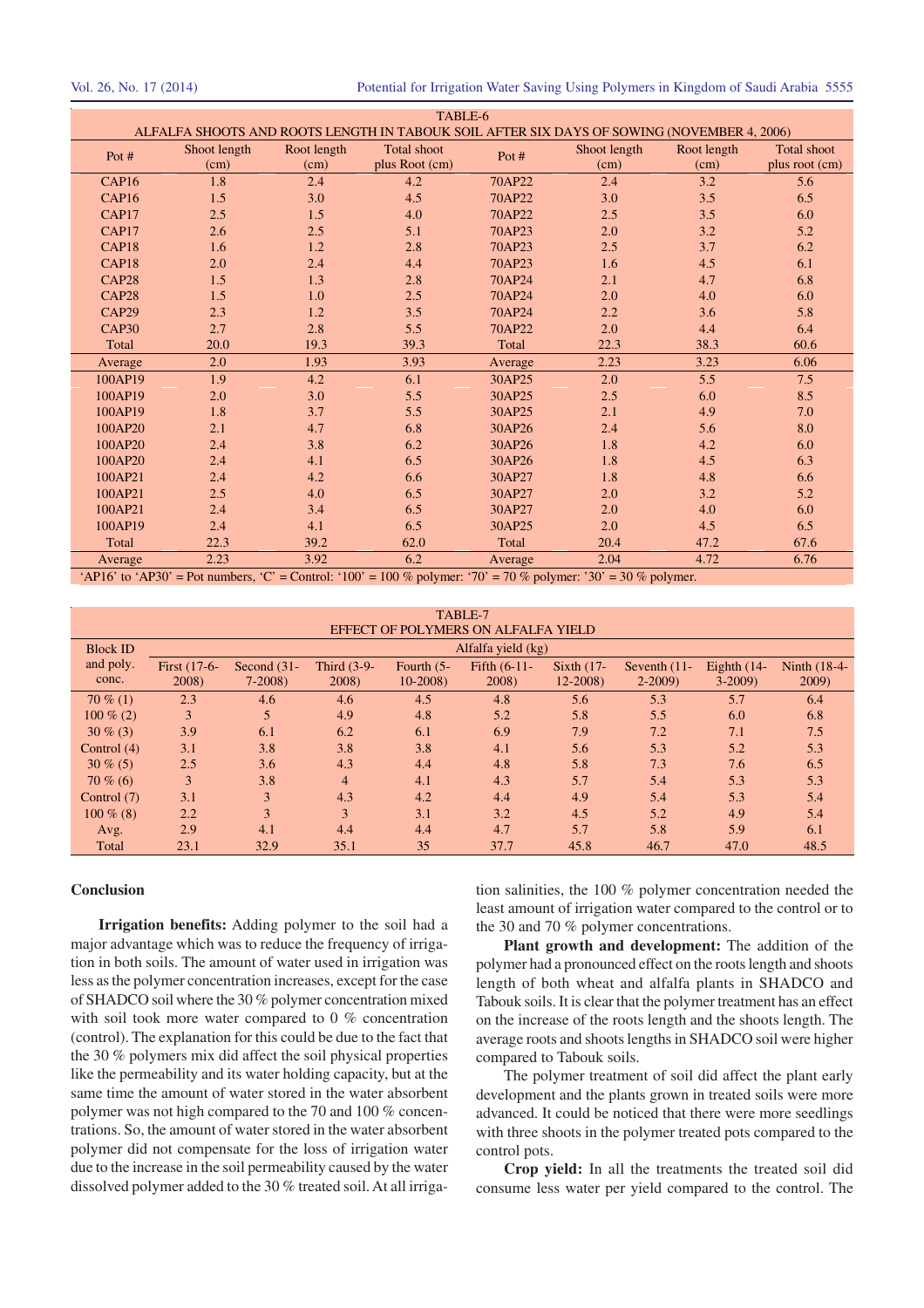| TABLE-6           |              |             |                                                                                            |         |              |             |                    |
|-------------------|--------------|-------------|--------------------------------------------------------------------------------------------|---------|--------------|-------------|--------------------|
|                   |              |             | ALFALFA SHOOTS AND ROOTS LENGTH IN TABOUK SOIL AFTER SIX DAYS OF SOWING (NOVEMBER 4, 2006) |         |              |             |                    |
| Pot $#$           | Shoot length | Root length | <b>Total shoot</b>                                                                         | Pot #   | Shoot length | Root length | <b>Total shoot</b> |
|                   | (cm)         | (cm)        | plus Root (cm)                                                                             |         | (cm)         | (cm)        | plus root (cm)     |
| CAP <sub>16</sub> | 1.8          | 2.4         | 4.2                                                                                        | 70AP22  | 2.4          | 3.2         | 5.6                |
| CAP <sub>16</sub> | 1.5          | 3.0         | 4.5                                                                                        | 70AP22  | 3.0          | 3.5         | 6.5                |
| CAP17             | 2.5          | 1.5         | 4.0                                                                                        | 70AP22  | 2.5          | 3.5         | 6.0                |
| CAP17             | 2.6          | 2.5         | 5.1                                                                                        | 70AP23  | 2.0          | 3.2         | 5.2                |
| CAP <sub>18</sub> | 1.6          | 1.2         | 2.8                                                                                        | 70AP23  | 2.5          | 3.7         | 6.2                |
| CAP <sub>18</sub> | 2.0          | 2.4         | 4.4                                                                                        | 70AP23  | 1.6          | 4.5         | 6.1                |
| CAP <sub>28</sub> | 1.5          | 1.3         | 2.8                                                                                        | 70AP24  | 2.1          | 4.7         | 6.8                |
| CAP <sub>28</sub> | 1.5          | 1.0         | 2.5                                                                                        | 70AP24  | 2.0          | 4.0         | 6.0                |
| CAP29             | 2.3          | 1.2         | 3.5                                                                                        | 70AP24  | 2.2          | 3.6         | 5.8                |
| CAP <sub>30</sub> | 2.7          | 2.8         | 5.5                                                                                        | 70AP22  | 2.0          | 4.4         | 6.4                |
| Total             | 20.0         | 19.3        | 39.3                                                                                       | Total   | 22.3         | 38.3        | 60.6               |
| Average           | 2.0          | 1.93        | 3.93                                                                                       | Average | 2.23         | 3.23        | 6.06               |
| 100AP19           | 1.9          | 4.2         | 6.1                                                                                        | 30AP25  | 2.0          | 5.5         | 7.5                |
| 100AP19           | 2.0          | 3.0         | 5.5                                                                                        | 30AP25  | 2.5          | 6.0         | 8.5                |
| 100AP19           | 1.8          | 3.7         | 5.5                                                                                        | 30AP25  | 2.1          | 4.9         | 7.0                |
| 100AP20           | 2.1          | 4.7         | 6.8                                                                                        | 30AP26  | 2.4          | 5.6         | 8.0                |
| 100AP20           | 2.4          | 3.8         | 6.2                                                                                        | 30AP26  | 1.8          | 4.2         | 6.0                |
| 100AP20           | 2.4          | 4.1         | 6.5                                                                                        | 30AP26  | 1.8          | 4.5         | 6.3                |
| 100AP21           | 2.4          | 4.2         | 6.6                                                                                        | 30AP27  | 1.8          | 4.8         | 6.6                |
| 100AP21           | 2.5          | 4.0         | 6.5                                                                                        | 30AP27  | 2.0          | 3.2         | 5.2                |
| 100AP21           | 2.4          | 3.4         | 6.5                                                                                        | 30AP27  | 2.0          | 4.0         | 6.0                |
| 100AP19           | 2.4          | 4.1         | 6.5                                                                                        | 30AP25  | 2.0          | 4.5         | 6.5                |
| Total             | 22.3         | 39.2        | 62.0                                                                                       | Total   | 20.4         | 47.2        | 67.6               |
| Average           | 2.23         | 3.92        | 6.2                                                                                        | Average | 2.04         | 4.72        | 6.76               |

'AP16' to 'AP30' = Pot numbers, 'C' = Control: '100' = 100 % polymer: '70' = 70 % polymer: '30' = 30 % polymer.

| TABLE-7                             |              |                |                |               |                    |              |                 |               |              |  |
|-------------------------------------|--------------|----------------|----------------|---------------|--------------------|--------------|-----------------|---------------|--------------|--|
| EFFECT OF POLYMERS ON ALFALFA YIELD |              |                |                |               |                    |              |                 |               |              |  |
| <b>Block ID</b>                     |              |                |                |               | Alfalfa yield (kg) |              |                 |               |              |  |
| and poly.                           | First (17-6- | Second $(31 -$ | Third $(3-9-$  | Fourth $(5 -$ | Fifth $(6-11-$     | Sixth $(17-$ | Seventh $(11$ - | Eighth $(14-$ | Ninth (18-4- |  |
| conc.                               | 2008)        | $7 - 2008$     | 2008)          | $10-2008$     | 2008)              | $12 - 2008$  | $2 - 2009$      | $3 - 2009$    | 2009)        |  |
| $70\%$ (1)                          | 2.3          | 4.6            | 4.6            | 4.5           | 4.8                | 5.6          | 5.3             | 5.7           | 6.4          |  |
| $100\%$ (2)                         | 3            | 5              | 4.9            | 4.8           | 5.2                | 5.8          | 5.5             | 6.0           | 6.8          |  |
| $30\%$ (3)                          | 3.9          | 6.1            | 6.2            | 6.1           | 6.9                | 7.9          | 7.2             | 7.1           | 7.5          |  |
| Control $(4)$                       | 3.1          | 3.8            | 3.8            | 3.8           | 4.1                | 5.6          | 5.3             | 5.2           | 5.3          |  |
| $30\%$ (5)                          | 2.5          | 3.6            | 4.3            | 4.4           | 4.8                | 5.8          | 7.3             | 7.6           | 6.5          |  |
| $70\%$ (6)                          | 3            | 3.8            | $\overline{4}$ | 4.1           | 4.3                | 5.7          | 5.4             | 5.3           | 5.3          |  |
| Control (7)                         | 3.1          | 3              | 4.3            | 4.2           | 4.4                | 4.9          | 5.4             | 5.3           | 5.4          |  |
| $100\%$ (8)                         | 2.2          | 3              | 3              | 3.1           | 3.2                | 4.5          | 5.2             | 4.9           | 5.4          |  |
| Avg.                                | 2.9          | 4.1            | 4.4            | 4.4           | 4.7                | 5.7          | 5.8             | 5.9           | 6.1          |  |
| Total                               | 23.1         | 32.9           | 35.1           | 35            | 37.7               | 45.8         | 46.7            | 47.0          | 48.5         |  |

#### **Conclusion**

**Irrigation benefits:** Adding polymer to the soil had a major advantage which was to reduce the frequency of irrigation in both soils. The amount of water used in irrigation was less as the polymer concentration increases, except for the case of SHADCO soil where the 30 % polymer concentration mixed with soil took more water compared to 0 % concentration (control). The explanation for this could be due to the fact that the 30 % polymers mix did affect the soil physical properties like the permeability and its water holding capacity, but at the same time the amount of water stored in the water absorbent polymer was not high compared to the 70 and 100 % concentrations. So, the amount of water stored in the water absorbent polymer did not compensate for the loss of irrigation water due to the increase in the soil permeability caused by the water dissolved polymer added to the 30 % treated soil. At all irrigation salinities, the 100 % polymer concentration needed the least amount of irrigation water compared to the control or to the 30 and 70 % polymer concentrations.

**Plant growth and development:** The addition of the polymer had a pronounced effect on the roots length and shoots length of both wheat and alfalfa plants in SHADCO and Tabouk soils. It is clear that the polymer treatment has an effect on the increase of the roots length and the shoots length. The average roots and shoots lengths in SHADCO soil were higher compared to Tabouk soils.

The polymer treatment of soil did affect the plant early development and the plants grown in treated soils were more advanced. It could be noticed that there were more seedlings with three shoots in the polymer treated pots compared to the control pots.

**Crop yield:** In all the treatments the treated soil did consume less water per yield compared to the control. The